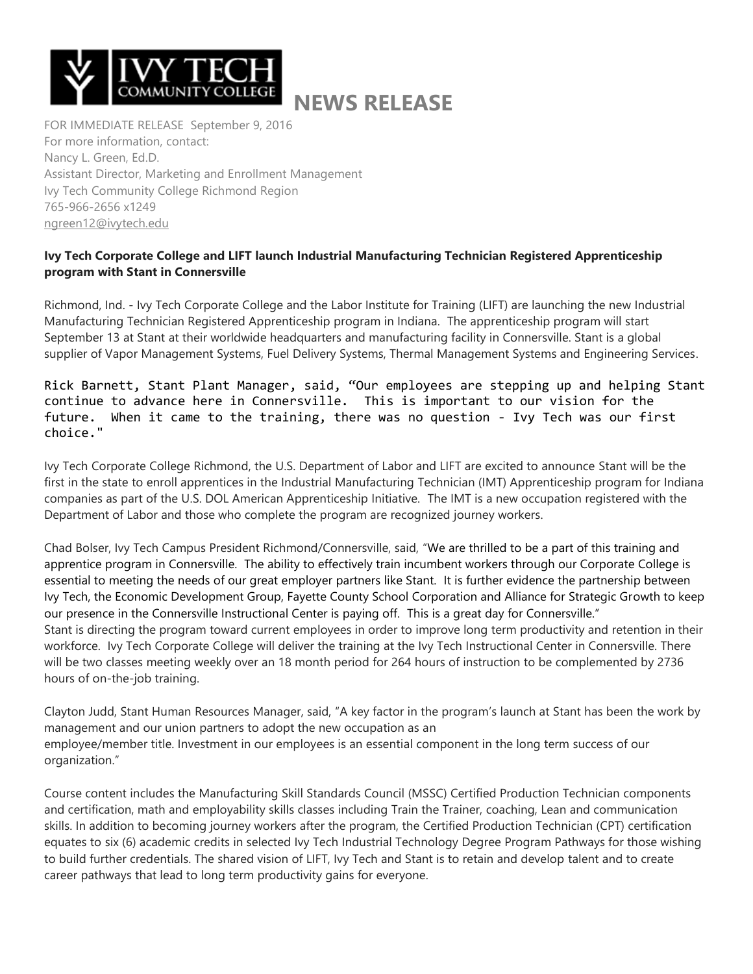

## **NEWS RELEASE**

FOR IMMEDIATE RELEASE September 9, 2016 For more information, contact: Nancy L. Green, Ed.D. Assistant Director, Marketing and Enrollment Management Ivy Tech Community College Richmond Region 765-966-2656 x1249 [ngreen12@ivytech.edu](mailto:ngreen12@ivytech.edu)

## **Ivy Tech Corporate College and LIFT launch Industrial Manufacturing Technician Registered Apprenticeship program with Stant in Connersville**

Richmond, Ind. - Ivy Tech Corporate College and the Labor Institute for Training (LIFT) are launching the new Industrial Manufacturing Technician Registered Apprenticeship program in Indiana. The apprenticeship program will start September 13 at Stant at their worldwide headquarters and manufacturing facility in Connersville. Stant is a global supplier of Vapor Management Systems, Fuel Delivery Systems, Thermal Management Systems and Engineering Services.

Rick Barnett, Stant Plant Manager, said, "Our employees are stepping up and helping Stant continue to advance here in Connersville. This is important to our vision for the future. When it came to the training, there was no question - Ivy Tech was our first choice."

Ivy Tech Corporate College Richmond, the U.S. Department of Labor and LIFT are excited to announce Stant will be the first in the state to enroll apprentices in the Industrial Manufacturing Technician (IMT) Apprenticeship program for Indiana companies as part of the U.S. DOL American Apprenticeship Initiative. The IMT is a new occupation registered with the Department of Labor and those who complete the program are recognized journey workers.

Chad Bolser, Ivy Tech Campus President Richmond/Connersville, said, "We are thrilled to be a part of this training and apprentice program in Connersville. The ability to effectively train incumbent workers through our Corporate College is essential to meeting the needs of our great employer partners like Stant. It is further evidence the partnership between Ivy Tech, the Economic Development Group, Fayette County School Corporation and Alliance for Strategic Growth to keep our presence in the Connersville Instructional Center is paying off. This is a great day for Connersville." Stant is directing the program toward current employees in order to improve long term productivity and retention in their workforce. Ivy Tech Corporate College will deliver the training at the Ivy Tech Instructional Center in Connersville. There will be two classes meeting weekly over an 18 month period for 264 hours of instruction to be complemented by 2736 hours of on-the-job training.

Clayton Judd, Stant Human Resources Manager, said, "A key factor in the program's launch at Stant has been the work by management and our union partners to adopt the new occupation as an employee/member title. Investment in our employees is an essential component in the long term success of our organization."

Course content includes the Manufacturing Skill Standards Council (MSSC) Certified Production Technician components and certification, math and employability skills classes including Train the Trainer, coaching, Lean and communication skills. In addition to becoming journey workers after the program, the Certified Production Technician (CPT) certification equates to six (6) academic credits in selected Ivy Tech Industrial Technology Degree Program Pathways for those wishing to build further credentials. The shared vision of LIFT, Ivy Tech and Stant is to retain and develop talent and to create career pathways that lead to long term productivity gains for everyone.